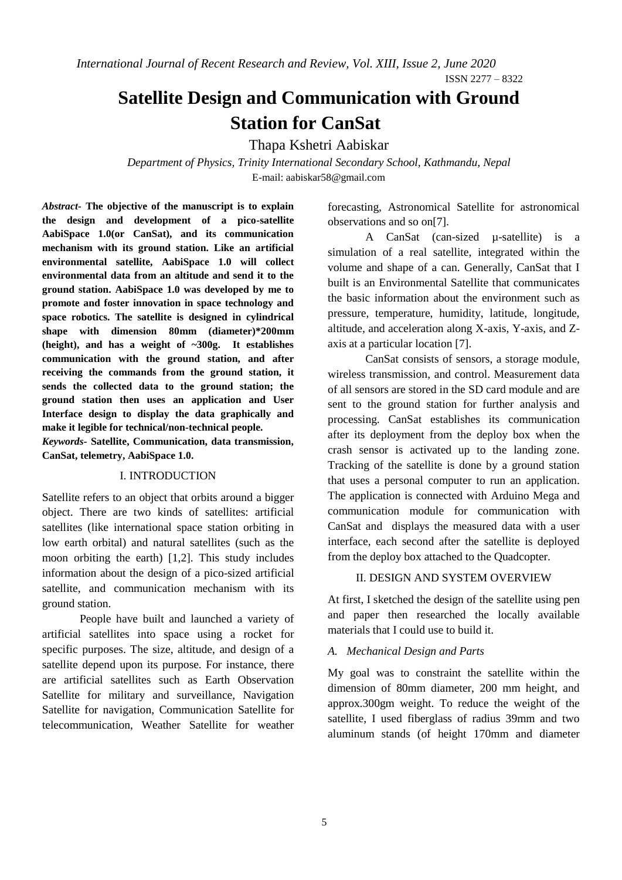*International Journal of Recent Research and Review, Vol. XIII, Issue 2, June 2020*

ISSN 2277 – 8322

# **Satellite Design and Communication with Ground Station for CanSat**

Thapa Kshetri Aabiskar

*Department of Physics, Trinity International Secondary School, Kathmandu, Nepal* E-mail: aabiskar58@gmail.com

*Abstract-* **The objective of the manuscript is to explain the design and development of a pico-satellite AabiSpace 1.0(or CanSat), and its communication mechanism with its ground station. Like an artificial environmental satellite, AabiSpace 1.0 will collect environmental data from an altitude and send it to the ground station. AabiSpace 1.0 was developed by me to promote and foster innovation in space technology and space robotics. The satellite is designed in cylindrical shape with dimension 80mm (diameter)\*200mm (height), and has a weight of ~300g. It establishes communication with the ground station, and after receiving the commands from the ground station, it sends the collected data to the ground station; the ground station then uses an application and User Interface design to display the data graphically and make it legible for technical/non-technical people.**

*Keywords-* **Satellite, Communication, data transmission, CanSat, telemetry, AabiSpace 1.0.** 

## I. INTRODUCTION

Satellite refers to an object that orbits around a bigger object. There are two kinds of satellites: artificial satellites (like international space station orbiting in low earth orbital) and natural satellites (such as the moon orbiting the earth) [1,2]. This study includes information about the design of a pico-sized artificial satellite, and communication mechanism with its ground station.

People have built and launched a variety of artificial satellites into space using a rocket for specific purposes. The size, altitude, and design of a satellite depend upon its purpose. For instance, there are artificial satellites such as Earth Observation Satellite for military and surveillance, Navigation Satellite for navigation, Communication Satellite for telecommunication, Weather Satellite for weather

forecasting, Astronomical Satellite for astronomical observations and so on[7].

A CanSat (can-sized µ-satellite) is a simulation of a real satellite, integrated within the volume and shape of a can. Generally, CanSat that I built is an Environmental Satellite that communicates the basic information about the environment such as pressure, temperature, humidity, latitude, longitude, altitude, and acceleration along X-axis, Y-axis, and Zaxis at a particular location [7].

CanSat consists of sensors, a storage module, wireless transmission, and control. Measurement data of all sensors are stored in the SD card module and are sent to the ground station for further analysis and processing. CanSat establishes its communication after its deployment from the deploy box when the crash sensor is activated up to the landing zone. Tracking of the satellite is done by a ground station that uses a personal computer to run an application. The application is connected with Arduino Mega and communication module for communication with CanSat and displays the measured data with a user interface, each second after the satellite is deployed from the deploy box attached to the Quadcopter.

# II. DESIGN AND SYSTEM OVERVIEW

At first, I sketched the design of the satellite using pen and paper then researched the locally available materials that I could use to build it.

# *A. Mechanical Design and Parts*

My goal was to constraint the satellite within the dimension of 80mm diameter, 200 mm height, and approx.300gm weight. To reduce the weight of the satellite, I used fiberglass of radius 39mm and two aluminum stands (of height 170mm and diameter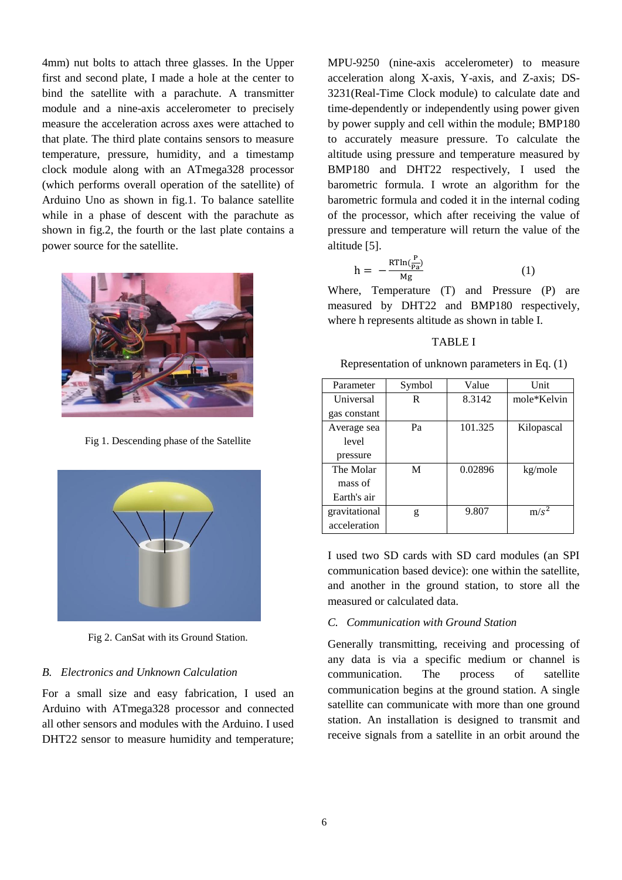4mm) nut bolts to attach three glasses. In the Upper first and second plate, I made a hole at the center to bind the satellite with a parachute. A transmitter module and a nine-axis accelerometer to precisely measure the acceleration across axes were attached to that plate. The third plate contains sensors to measure temperature, pressure, humidity, and a timestamp clock module along with an ATmega328 processor (which performs overall operation of the satellite) of Arduino Uno as shown in fig.1. To balance satellite while in a phase of descent with the parachute as shown in fig.2, the fourth or the last plate contains a power source for the satellite.



Fig 1. Descending phase of the Satellite



Fig 2. CanSat with its Ground Station.

## *B. Electronics and Unknown Calculation*

For a small size and easy fabrication, I used an Arduino with ATmega328 processor and connected all other sensors and modules with the Arduino. I used DHT22 sensor to measure humidity and temperature;

MPU-9250 (nine-axis accelerometer) to measure acceleration along X-axis, Y-axis, and Z-axis; DS-3231(Real-Time Clock module) to calculate date and time-dependently or independently using power given by power supply and cell within the module; BMP180 to accurately measure pressure. To calculate the altitude using pressure and temperature measured by BMP180 and DHT22 respectively, I used the barometric formula. I wrote an algorithm for the barometric formula and coded it in the internal coding of the processor, which after receiving the value of pressure and temperature will return the value of the altitude [5].

$$
h = -\frac{R T \ln(\frac{P}{Pa})}{Mg} \tag{1}
$$

Where, Temperature (T) and Pressure (P) are measured by DHT22 and BMP180 respectively, where h represents altitude as shown in table I.

## TABLE I

Representation of unknown parameters in Eq. (1)

| Parameter     | Symbol | Value   | Unit        |
|---------------|--------|---------|-------------|
| Universal     | R      | 8.3142  | mole*Kelvin |
| gas constant  |        |         |             |
| Average sea   | Pa     | 101.325 | Kilopascal  |
| level         |        |         |             |
| pressure      |        |         |             |
| The Molar     | M      | 0.02896 | kg/mole     |
| mass of       |        |         |             |
| Earth's air   |        |         |             |
| gravitational | g      | 9.807   | $m/s^2$     |
| acceleration  |        |         |             |

I used two SD cards with SD card modules (an SPI communication based device): one within the satellite, and another in the ground station, to store all the measured or calculated data.

# *C. Communication with Ground Station*

Generally transmitting, receiving and processing of any data is via a specific medium or channel is communication. The process of satellite communication begins at the ground station. A single satellite can communicate with more than one ground station. An installation is designed to transmit and receive signals from a satellite in an orbit around the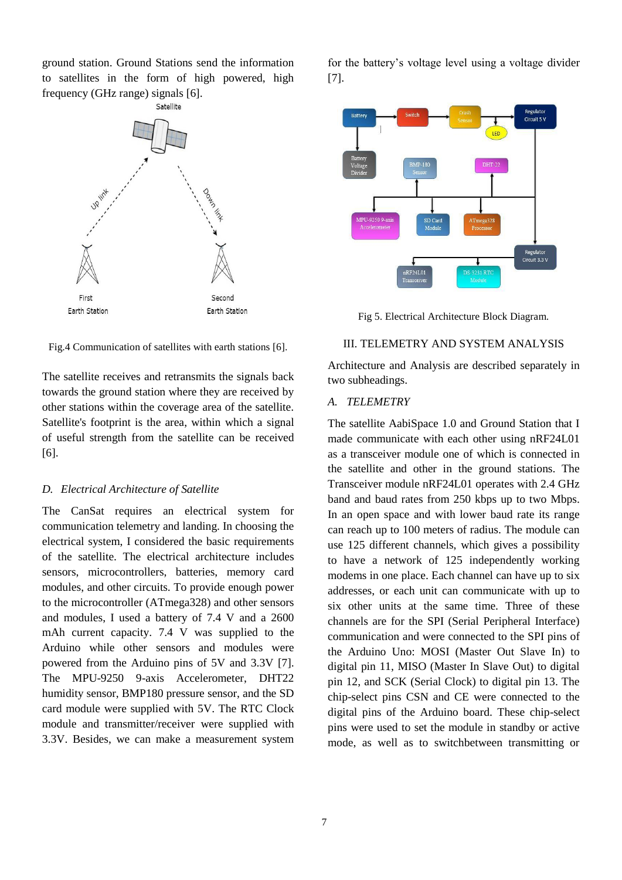ground station. Ground Stations send the information to satellites in the form of high powered, high frequency (GHz range) signals [6].



Fig.4 Communication of satellites with earth stations [6].

The satellite receives and retransmits the signals back towards the ground station where they are received by other stations within the coverage area of the satellite. Satellite's footprint is the area, within which a signal of useful strength from the satellite can be received [6].

#### *D. Electrical Architecture of Satellite*

The CanSat requires an electrical system for communication telemetry and landing. In choosing the electrical system, I considered the basic requirements of the satellite. The electrical architecture includes sensors, microcontrollers, batteries, memory card modules, and other circuits. To provide enough power to the microcontroller (ATmega328) and other sensors and modules, I used a battery of 7.4 V and a 2600 mAh current capacity. 7.4 V was supplied to the Arduino while other sensors and modules were powered from the Arduino pins of 5V and 3.3V [7]. The MPU-9250 9-axis Accelerometer, DHT22 humidity sensor, BMP180 pressure sensor, and the SD card module were supplied with 5V. The RTC Clock module and transmitter/receiver were supplied with 3.3V. Besides, we can make a measurement system

for the battery's voltage level using a voltage divider [7].



Fig 5. Electrical Architecture Block Diagram.

#### III. TELEMETRY AND SYSTEM ANALYSIS

Architecture and Analysis are described separately in two subheadings.

#### *A. TELEMETRY*

The satellite AabiSpace 1.0 and Ground Station that I made communicate with each other using nRF24L01 as a transceiver module one of which is connected in the satellite and other in the ground stations. The Transceiver module nRF24L01 operates with 2.4 GHz band and baud rates from 250 kbps up to two Mbps. In an open space and with lower baud rate its range can reach up to 100 meters of radius. The module can use 125 different channels, which gives a possibility to have a network of 125 independently working modems in one place. Each channel can have up to six addresses, or each unit can communicate with up to six other units at the same time. Three of these channels are for the SPI (Serial Peripheral Interface) communication and were connected to the SPI pins of the Arduino Uno: MOSI (Master Out Slave In) to digital pin 11, MISO (Master In Slave Out) to digital pin 12, and SCK (Serial Clock) to digital pin 13. The chip-select pins CSN and CE were connected to the digital pins of the Arduino board. These chip-select pins were used to set the module in standby or active mode, as well as to switchbetween transmitting or